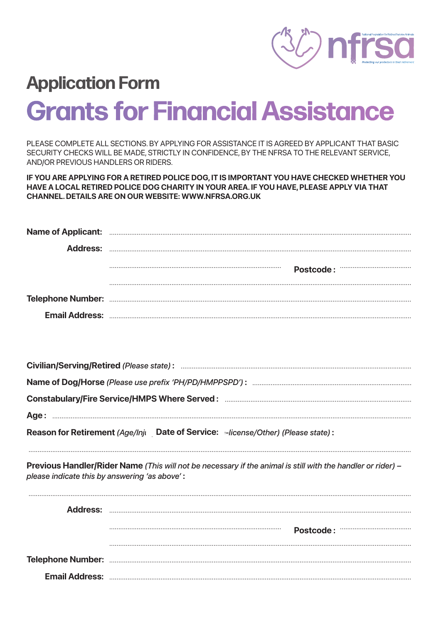

# **Application Form Grants for Financial Assistance**

PLEASE COMPLETE ALL SECTIONS. BY APPLYING FOR ASSISTANCE IT IS AGREED BY APPLICANT THAT BASIC SECURITY CHECKS WILL BE MADE, STRICTLY IN CONFIDENCE, BY THE NFRSA TO THE RELEVANT SERVICE, AND/OR PREVIOUS HANDLERS OR RIDERS.

IF YOU ARE APPLYING FOR A RETIRED POLICE DOG, IT IS IMPORTANT YOU HAVE CHECKED WHETHER YOU HAVE A LOCAL RETIRED POLICE DOG CHARITY IN YOUR AREA. IF YOU HAVE, PLEASE APPLY VIA THAT **CHANNEL, DETAILS ARE ON OUR WEBSITE: WWW.NFRSA.ORG.UK** 

| Postcode: Marian Marian Maria |
|-------------------------------|
|                               |
|                               |
|                               |

Reason for Retirement (Age/Inji Date of Service: -license/Other) (Please state):

Previous Handler/Rider Name (This will not be necessary if the animal is still with the handler or rider) please indicate this by answering 'as above':

|  | Postcode: Marian Marian Marian Maria |
|--|--------------------------------------|
|  |                                      |
|  |                                      |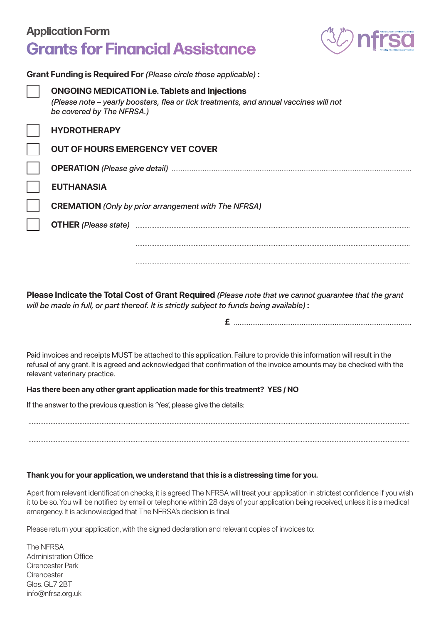### **Grants for Financial Assistance Application Form**

**Grant Funding is Required For** *(Please circle those applicable)* **:**



| <u>Ultarity is Neguli editor (Ficase Circle tribse applicable).</u> |                                                                                                                                                                                                                                |  |  |
|---------------------------------------------------------------------|--------------------------------------------------------------------------------------------------------------------------------------------------------------------------------------------------------------------------------|--|--|
| be covered by The NFRSA.)                                           | <b>ONGOING MEDICATION i.e. Tablets and Injections</b><br>(Please note - yearly boosters, flea or tick treatments, and annual vaccines will not                                                                                 |  |  |
| <b>HYDROTHERAPY</b>                                                 |                                                                                                                                                                                                                                |  |  |
| <b>OUT OF HOURS EMERGENCY VET COVER</b>                             |                                                                                                                                                                                                                                |  |  |
|                                                                     |                                                                                                                                                                                                                                |  |  |
| <b>EUTHANASIA</b>                                                   |                                                                                                                                                                                                                                |  |  |
| <b>CREMATION</b> (Only by prior arrangement with The NFRSA)         |                                                                                                                                                                                                                                |  |  |
|                                                                     | OTHER (Please state) Entertainment and the contract of the state of the contract of the contract of the contract of the contract of the contract of the contract of the contract of the contract of the contract of the contra |  |  |
|                                                                     |                                                                                                                                                                                                                                |  |  |
|                                                                     |                                                                                                                                                                                                                                |  |  |

**Please Indicate the Total Cost of Grant Required** *(Please note that we cannot guarantee that the grant will be made in full, or part thereof. It is strictly subject to funds being available)* **:** 

 **£** .................................................................................................

Paid invoices and receipts MUST be attached to this application. Failure to provide this information will result in the refusal of any grant. It is agreed and acknowledged that confirmation of the invoice amounts may be checked with the relevant veterinary practice.

................................................................................................................................................................................................................................

................................................................................................................................................................................................................................

#### **Has there been any other grant application made for this treatment? YES / NO**

If the answer to the previous question is 'Yes', please give the details:

#### **Thank you for your application, we understand that this is a distressing time for you.**

Apart from relevant identification checks, it is agreed The NFRSA will treat your application in strictest confidence if you wish it to be so. You will be notified by email or telephone within 28 days of your application being received, unless it is a medical emergency. It is acknowledged that The NFRSA's decision is final.

Please return your application, with the signed declaration and relevant copies of invoices to:

The NFRSA Administration Office Cirencester Park **Cirencester** Glos. GL7 2BT info@nfrsa.org.uk